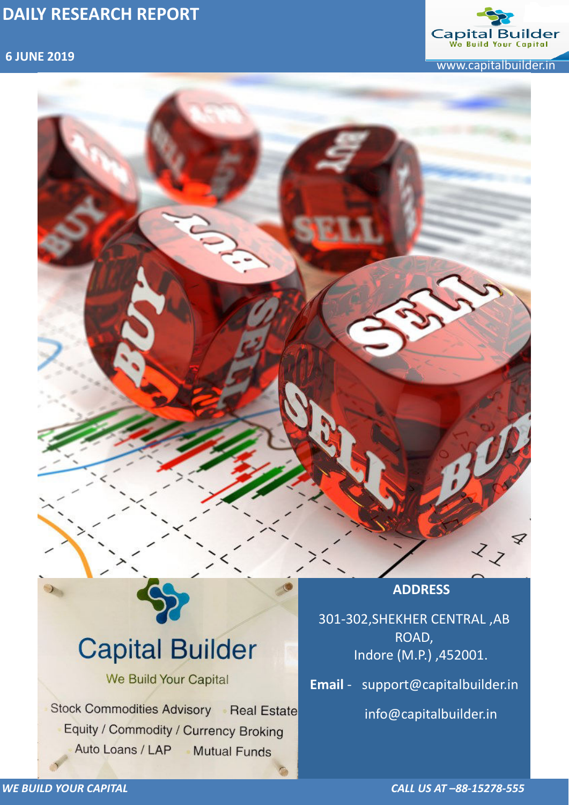

 **6 JUNE 2019** www.capitalbuilder.in

### *WE BUILD YOUR CAPITAL CALL US AT –88-15278-555*



**Capital Builder** We Build Your Capital Stock Commodities Advisory Real Estate Equity / Commodity / Currency Broking Auto Loans / LAP Mutual Funds

301-302,SHEKHER CENTRAL ,AB ROAD, Indore (M.P.) ,452001.

**Email** - support@capitalbuilder.in

info@capitalbuilder.in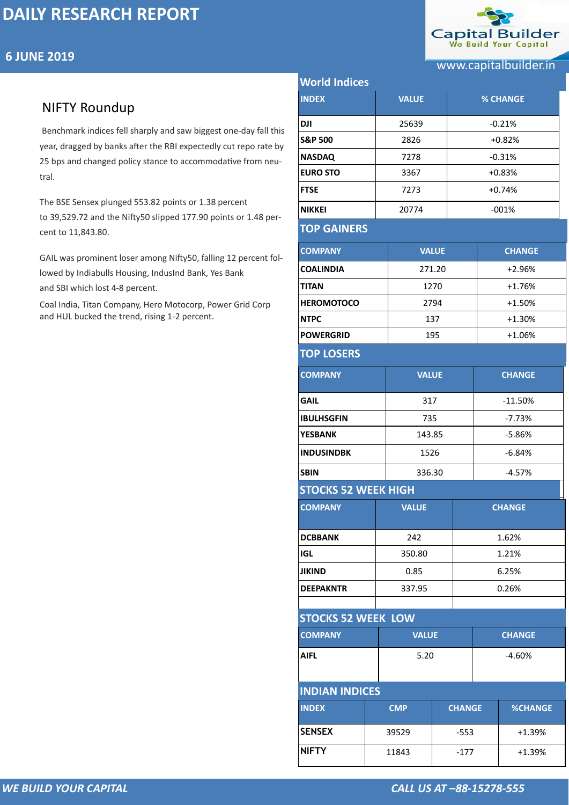

*WE BUILD YOUR CAPITAL CALL US AT –88-15278-555*

## NIFTY Roundup

| <b>6 JUNE 2019</b>                                                                                                      |                                |              |        |                       |  |
|-------------------------------------------------------------------------------------------------------------------------|--------------------------------|--------------|--------|-----------------------|--|
|                                                                                                                         |                                |              |        | www.capitalbuilder.in |  |
|                                                                                                                         | <b>World Indices</b>           |              |        |                       |  |
| <b>NIFTY Roundup</b>                                                                                                    | <b>INDEX</b>                   | <b>VALUE</b> |        | <b>% CHANGE</b>       |  |
| Benchmark indices fell sharply and saw biggest one-day fall this                                                        | <b>DJI</b>                     | 25639        |        | $-0.21%$              |  |
| year, dragged by banks after the RBI expectedly cut repo rate by                                                        | <b>S&amp;P 500</b>             | 2826         |        | $+0.82%$              |  |
| 25 bps and changed policy stance to accommodative from neu-                                                             | <b>NASDAQ</b>                  | 7278         |        | $-0.31%$              |  |
|                                                                                                                         | <b>EURO STO</b>                | 3367         |        | $+0.83%$              |  |
|                                                                                                                         | <b>FTSE</b>                    | 7273         |        | $+0.74%$              |  |
| The BSE Sensex plunged 553.82 points or 1.38 percent<br>to 39,529.72 and the Nifty50 slipped 177.90 points or 1.48 per- | <b>NIKKEI</b>                  | 20774        |        | $-001%$               |  |
| cent to 11,843.80.                                                                                                      | <b>TOP GAINERS</b>             |              |        |                       |  |
| GAIL was prominent loser among Nifty50, falling 12 percent fol-                                                         | <b>COMPANY</b>                 | <b>VALUE</b> |        | <b>CHANGE</b>         |  |
| lowed by Indiabulls Housing, IndusInd Bank, Yes Bank                                                                    | <b>COALINDIA</b>               | 271.20       |        | $+2.96%$              |  |
| and SBI which lost 4-8 percent.                                                                                         | <b>TITAN</b>                   | 1270         |        | $+1.76%$              |  |
| Coal India, Titan Company, Hero Motocorp, Power Grid Corp                                                               | <b>HEROMOTOCO</b>              | 2794         |        | $+1.50%$              |  |
| and HUL bucked the trend, rising 1-2 percent.                                                                           | <b>NTPC</b>                    | 137          |        | $+1.30%$              |  |
| <b>POWERGRID</b>                                                                                                        |                                | 195          |        | $+1.06%$              |  |
|                                                                                                                         | <b>TOP LOSERS</b>              |              |        |                       |  |
|                                                                                                                         | <b>VALUE</b><br><b>COMPANY</b> |              |        | <b>CHANGE</b>         |  |
|                                                                                                                         | <b>GAIL</b>                    | 317          |        | $-11.50%$             |  |
|                                                                                                                         | <b>IBULHSGFIN</b>              | 735          |        | $-7.73%$              |  |
|                                                                                                                         | <b>YESBANK</b>                 | 143.85       |        | $-5.86%$              |  |
|                                                                                                                         | <b>INDUSINDBK</b>              | 1526         |        | $-6.84%$              |  |
|                                                                                                                         | <b>SBIN</b>                    |              | 336.30 | $-4.57%$              |  |
|                                                                                                                         | <b>STOCKS 52 WEEK HIGH</b>     |              |        |                       |  |
|                                                                                                                         | <b>COMPANY</b>                 | <b>VALUE</b> |        | <b>CHANGE</b>         |  |
|                                                                                                                         | <b>DCBBANK</b>                 | 242          |        | 1.62%                 |  |
|                                                                                                                         | <b>IGL</b>                     | 350.80       |        | 1.21%                 |  |
|                                                                                                                         | <b>JIKIND</b>                  | 0.85         |        | 6.25%                 |  |
|                                                                                                                         | <b>DEEPAKNTR</b>               | 337.95       |        | 0.26%                 |  |

### **[STOCKS 5](https://www1.nseindia.com/live_market/dynaContent/live_watch/get_quote/GetQuote.jsp?symbol=CHOLAFIN)2 WEEK LOW**

| <b>COMPANY</b>        | <b>VALUE</b> |               | <b>CHANGE</b> |                |  |  |
|-----------------------|--------------|---------------|---------------|----------------|--|--|
| <b>AIFL</b>           | 5.20         |               | $-4.60%$      |                |  |  |
| <b>INDIAN INDICES</b> |              |               |               |                |  |  |
| <b>INDEX</b>          | <b>CMP</b>   | <b>CHANGE</b> |               | <b>%CHANGE</b> |  |  |
| <b>SENSEX</b>         | 39529        | $-553$        |               | $+1.39%$       |  |  |
| <b>NIFTY</b>          | 11843        | $-177$        |               | $+1.39%$       |  |  |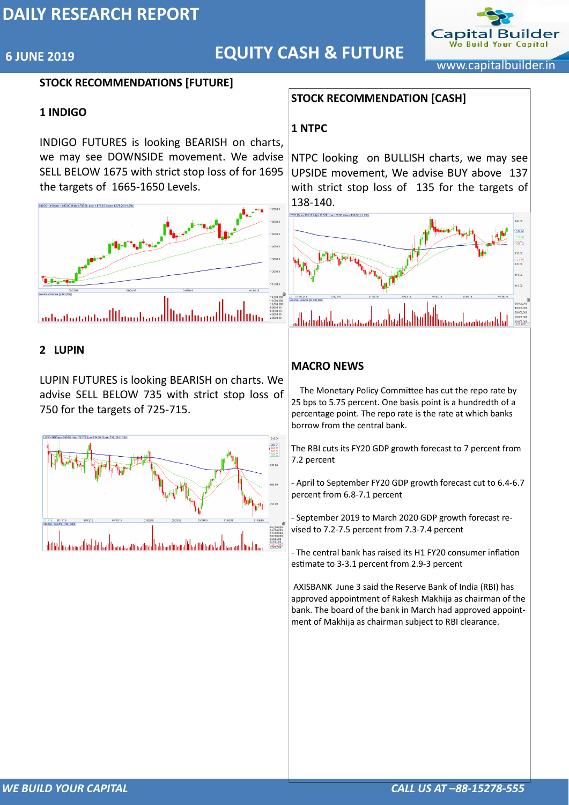

## **6 JUNE 2019** www.capitalbuilder.in **EQUITY CASH & FUTURE**



### **STOCK RECOMMENDATIONS [FUTURE]**

### **1 INDIGO**

INDIGO FUTURES is looking BEARISH on charts, we may see DOWNSIDE movement. We advise SELL BELOW 1675 with strict stop loss of for 1695 the targets of 1665-1650 Levels.



### **2 LUPIN**

LUPIN FUTURES is looking BEARISH on charts. We advise SELL BELOW 735 with strict stop loss of 750 for the targets of 725-715.



### **STOCK RECOMMENDATION [CASH]**

### **1 NTPC**

NTPC looking on BULLISH charts, we may see UPSIDE movement, We advise BUY above 137 with strict stop loss of 135 for the targets of 138-140.



### **MACRO NEWS**

 The Monetary Policy Committee has cut the repo rate by 25 bps to 5.75 percent. One basis point is a hundredth of a percentage point. The repo rate is the rate at which banks borrow from the central bank.

The RBI cuts its FY20 GDP growth forecast to 7 percent from 7.2 percent

- April to September FY20 GDP growth forecast cut to 6.4-6.7 percent from 6.8-7.1 percent

- September 2019 to March 2020 GDP growth forecast revised to 7.2-7.5 percent from 7.3-7.4 percent

- The central bank has raised its H1 FY20 consumer inflation estimate to 3-3.1 percent from 2.9-3 percent

 [AXISBANK J](http://www.moneycontrol.com/india/stockpricequote/banks-private-sector/axisbank/AB16)une 3 said the Reserve Bank of India (RBI) has approved appointment of Rakesh Makhija as chairman of the bank. The board of the bank in March had approved appointment of Makhija as chairman subject to RBI clearance.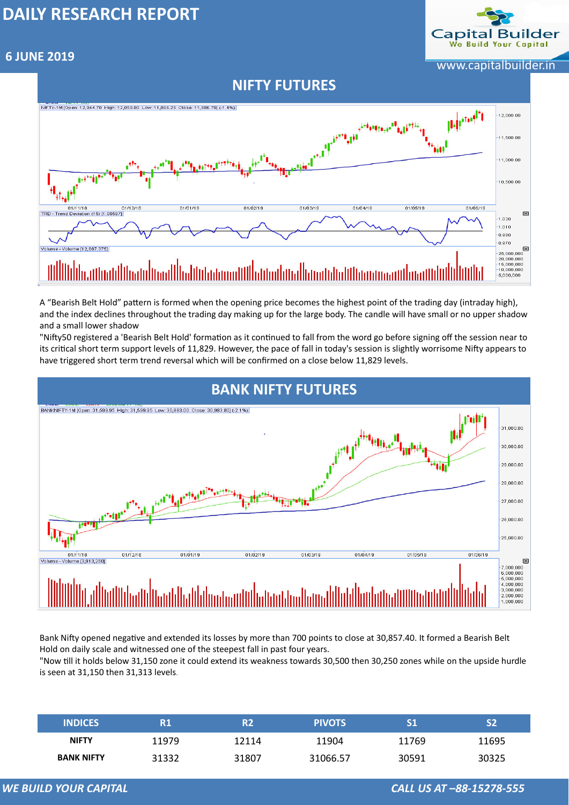

# **6 JUNE 2019** www.capitalbuilder.in

*WE BUILD YOUR CAPITAL CALL US AT –88-15278-555*

A "Bearish Belt Hold" pattern is formed when the opening price becomes the highest point of the trading day (intraday high), and the index declines throughout the trading day making up for the large body. The candle will have small or no upper shadow and a small lower shadow

"Nifty50 registered a 'Bearish Belt Hold' formation as it continued to fall from the word go before signing off the session near to its critical short term support levels of 11,829. However, the pace of fall in today's session is slightly worrisome Nifty appears to have triggered short term trend reversal which will be confirmed on a close below 11,829 levels.

Bank Nifty opened negative and extended its losses by more than 700 points to close at 30,857.40. It formed a Bearish Belt Hold on daily scale and witnessed one of the steepest fall in past four years. "Now till it holds below 31,150 zone it could extend its weakness towards 30,500 then 30,250 zones while on the upside hurdle

is seen at 31,150 then 31,313 levels.

| <b>INDICES</b>    | R1    | R2    | <b>PIVOTS</b> |       |       |
|-------------------|-------|-------|---------------|-------|-------|
| <b>NIFTY</b>      | 11979 | 12114 | 11904         | 11769 | 11695 |
| <b>BANK NIFTY</b> | 31332 | 31807 | 31066.57      | 30591 | 30325 |